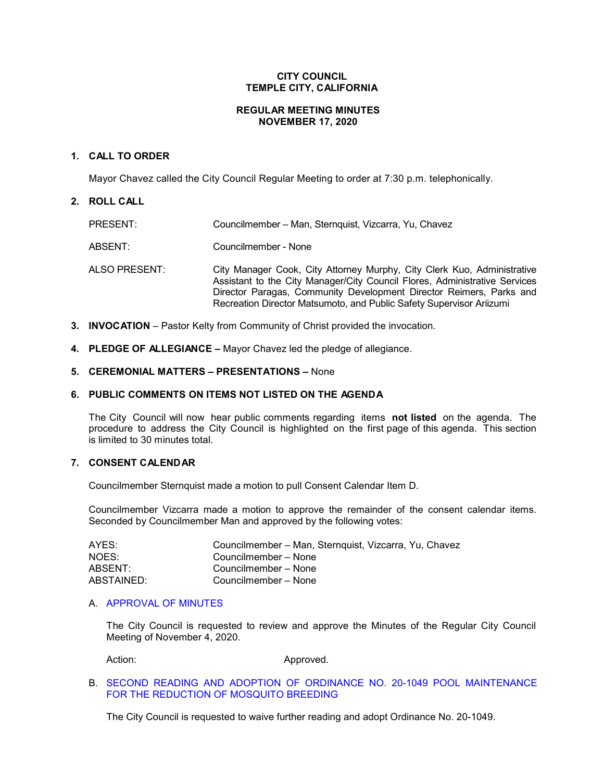# **CITY COUNCIL TEMPLE CITY, CALIFORNIA**

### **REGULAR MEETING MINUTES NOVEMBER 17, 2020**

### **1. CALL TO ORDER**

Mayor Chavez called the City Council Regular Meeting to order at 7:30 p.m. telephonically.

# **2. ROLL CALL**

| PRESENT:      | Councilmember – Man, Sternquist, Vizcarra, Yu, Chavez                                                                                                                                                                                                                                                |
|---------------|------------------------------------------------------------------------------------------------------------------------------------------------------------------------------------------------------------------------------------------------------------------------------------------------------|
| ABSENT:       | Councilmember - None                                                                                                                                                                                                                                                                                 |
| ALSO PRESENT: | City Manager Cook, City Attorney Murphy, City Clerk Kuo, Administrative<br>Assistant to the City Manager/City Council Flores, Administrative Services<br>Director Paragas, Community Development Director Reimers, Parks and<br>Recreation Director Matsumoto, and Public Safety Supervisor Ariizumi |

- **3. INVOCATION**  Pastor Kelty from Community of Christ provided the invocation.
- **4. PLEDGE OF ALLEGIANCE –** Mayor Chavez led the pledge of allegiance.

# **5. CEREMONIAL MATTERS – PRESENTATIONS –** None

# **6. PUBLIC COMMENTS ON ITEMS NOT LISTED ON THE AGENDA**

The City Council will now hear public comments regarding items **not listed** on the agenda. The procedure to address the City Council is highlighted on the first page of this agenda. This section is limited to 30 minutes total.

### **7. CONSENT CALENDAR**

Councilmember Sternquist made a motion to pull Consent Calendar Item D.

Councilmember Vizcarra made a motion to approve the remainder of the consent calendar items. Seconded by Councilmember Man and approved by the following votes:

| AYES:      | Councilmember - Man, Sternquist, Vizcarra, Yu, Chavez |
|------------|-------------------------------------------------------|
| NOES:      | Councilmember – None                                  |
| ABSENT:    | Councilmember - None                                  |
| ABSTAINED: | Councilmember – None                                  |

# A. [APPROVAL](https://ca-templecity.civicplus.com/DocumentCenter/View/15334/03_7A_CCM---2020-11-04) OF MINUTES

The City Council is requested to review and approve the Minutes of the Regular City Council Meeting of November 4, 2020.

Action: Approved.

# B. [SECOND READING AND ADOPTION OF ORDINANCE NO. 20-1049 POOL MAINTENANCE](https://ca-templecity.civicplus.com/DocumentCenter/View/15326/04_7B_Ordinance-20-1049-Staff-Report_2nd-Reading_Pool-Maintenance_AC-final-w-attachments)  [FOR THE REDUCTION OF MOSQUITO BREEDING](https://ca-templecity.civicplus.com/DocumentCenter/View/15326/04_7B_Ordinance-20-1049-Staff-Report_2nd-Reading_Pool-Maintenance_AC-final-w-attachments)

The City Council is requested to waive further reading and adopt Ordinance No. 20-1049.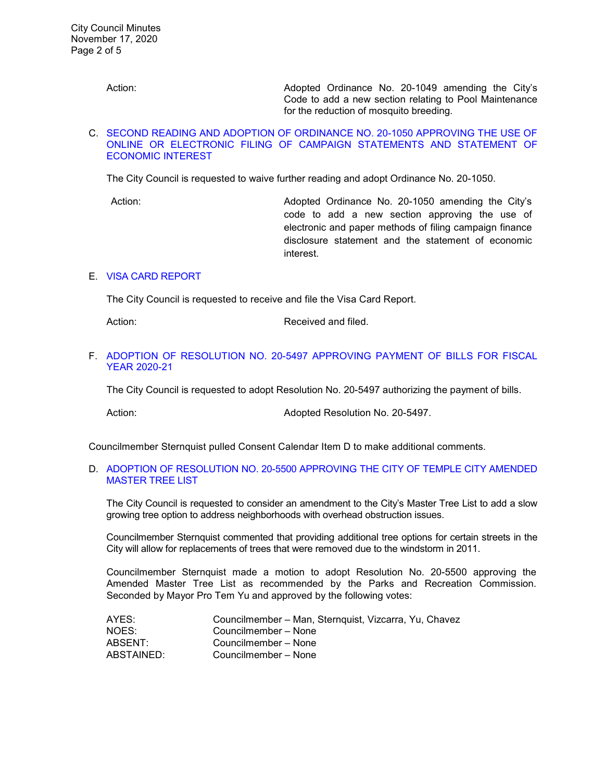Action: Adopted Ordinance No. 20-1049 amending the City's Code to add a new section relating to Pool Maintenance for the reduction of mosquito breeding.

#### C. [SECOND READING AND ADOPTION OF ORDINANCE NO. 20-1050 APPROVING THE USE OF](https://ca-templecity.civicplus.com/DocumentCenter/View/15327/05_7C_Ordinance-20-1050_Staff-Report_2nd-reading_Use-of-Online-or-Electrobnic-Filing-of-Campaign-Statements_w-attachments)  [ONLINE OR ELECTRONIC FILING OF CAMPAIGN STATEMENTS AND STATEMENT OF](https://ca-templecity.civicplus.com/DocumentCenter/View/15327/05_7C_Ordinance-20-1050_Staff-Report_2nd-reading_Use-of-Online-or-Electrobnic-Filing-of-Campaign-Statements_w-attachments)  [ECONOMIC INTEREST](https://ca-templecity.civicplus.com/DocumentCenter/View/15327/05_7C_Ordinance-20-1050_Staff-Report_2nd-reading_Use-of-Online-or-Electrobnic-Filing-of-Campaign-Statements_w-attachments)

The City Council is requested to waive further reading and adopt Ordinance No. 20-1050.

Action: Adopted Ordinance No. 20-1050 amending the City's code to add a new section approving the use of electronic and paper methods of filing campaign finance disclosure statement and the statement of economic interest.

# E. [VISA CARD REPORT](https://ca-templecity.civicplus.com/DocumentCenter/View/15329/07_7E_Visa-Card-Report_SP-final_w-attachment)

The City Council is requested to receive and file the Visa Card Report.

Action: Received and filed.

### F. [ADOPTION OF RESOLUTION NO. 20-5497 APPROVING PAYMENT OF BILLS FOR FISCAL](https://ca-templecity.civicplus.com/DocumentCenter/View/15347/08_7F_Reso-No-20-5497-111720---Warrants--Demands-FY-2020-2021)  [YEAR 2020-21](https://ca-templecity.civicplus.com/DocumentCenter/View/15347/08_7F_Reso-No-20-5497-111720---Warrants--Demands-FY-2020-2021)

The City Council is requested to adopt Resolution No. 20-5497 authorizing the payment of bills.

Action: Action: Adopted Resolution No. 20-5497.

Councilmember Sternquist pulled Consent Calendar Item D to make additional comments.

# D. [ADOPTION OF RESOLUTION NO. 20-5500 APPROVING THE CITY OF TEMPLE CITY AMENDED](https://ca-templecity.civicplus.com/DocumentCenter/View/15328/06_7D_Amended-Master-Tree-List_-Staff-Report_AM-final_w-attachments)  [MASTER TREE LIST](https://ca-templecity.civicplus.com/DocumentCenter/View/15328/06_7D_Amended-Master-Tree-List_-Staff-Report_AM-final_w-attachments)

The City Council is requested to consider an amendment to the City's Master Tree List to add a slow growing tree option to address neighborhoods with overhead obstruction issues.

Councilmember Sternquist commented that providing additional tree options for certain streets in the City will allow for replacements of trees that were removed due to the windstorm in 2011.

Councilmember Sternquist made a motion to adopt Resolution No. 20-5500 approving the Amended Master Tree List as recommended by the Parks and Recreation Commission. Seconded by Mayor Pro Tem Yu and approved by the following votes:

| AYES:      | Councilmember - Man, Sternquist, Vizcarra, Yu, Chavez |
|------------|-------------------------------------------------------|
| NOES:      | Councilmember – None                                  |
| ABSENT:    | Councilmember – None                                  |
| ABSTAINED: | Councilmember - None                                  |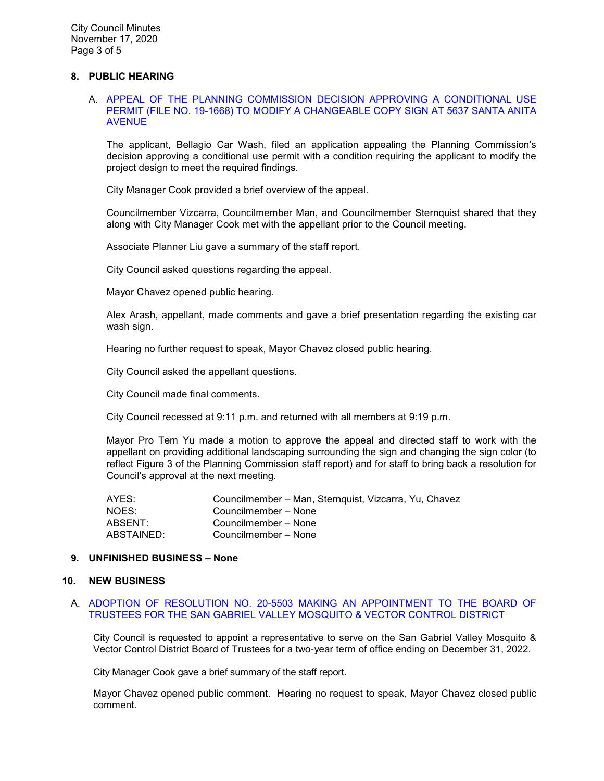### **8. PUBLIC HEARING**

#### A. [APPEAL OF THE PLANNING COMMISSION DECISION APPROVING A CONDITIONAL USE](https://ca-templecity.civicplus.com/DocumentCenter/View/15345/08_8A_Santa-Anita-Bellagio-Car-Wash_Staff-Report_final-w-attachments)  [PERMIT \(FILE NO. 19-1668\) TO MODIFY A CHANGEABLE COPY SIGN AT 5637 SANTA ANITA](https://ca-templecity.civicplus.com/DocumentCenter/View/15345/08_8A_Santa-Anita-Bellagio-Car-Wash_Staff-Report_final-w-attachments)  [AVENUE](https://ca-templecity.civicplus.com/DocumentCenter/View/15345/08_8A_Santa-Anita-Bellagio-Car-Wash_Staff-Report_final-w-attachments)

The applicant, Bellagio Car Wash, filed an application appealing the Planning Commission's decision approving a conditional use permit with a condition requiring the applicant to modify the project design to meet the required findings.

City Manager Cook provided a brief overview of the appeal.

Councilmember Vizcarra, Councilmember Man, and Councilmember Sternquist shared that they along with City Manager Cook met with the appellant prior to the Council meeting.

Associate Planner Liu gave a summary of the staff report.

City Council asked questions regarding the appeal.

Mayor Chavez opened public hearing.

Alex Arash, appellant, made comments and gave a brief presentation regarding the existing car wash sign.

Hearing no further request to speak, Mayor Chavez closed public hearing.

City Council asked the appellant questions.

City Council made final comments.

City Council recessed at 9:11 p.m. and returned with all members at 9:19 p.m.

Mayor Pro Tem Yu made a motion to approve the appeal and directed staff to work with the appellant on providing additional landscaping surrounding the sign and changing the sign color (to reflect Figure 3 of the Planning Commission staff report) and for staff to bring back a resolution for Council's approval at the next meeting.

| AYES:      | Councilmember - Man, Sternquist, Vizcarra, Yu, Chavez |
|------------|-------------------------------------------------------|
| NOES:      | Councilmember – None                                  |
| ABSENT:    | Councilmember - None                                  |
| ABSTAINED: | Councilmember - None                                  |

#### **9. UNFINISHED BUSINESS – None**

#### **10. NEW BUSINESS**

#### A. [ADOPTION OF RESOLUTION NO. 20-5503 MAKING AN APPOINTMENT TO THE BOARD OF](https://ca-templecity.civicplus.com/DocumentCenter/View/15330/09_10A_Mosquito-and-Vector---Staff-Report---Appointment-of-Trustee-to-SGV-Mosquito--Vector-Control-District_final-w-attachments)  [TRUSTEES FOR THE SAN GABRIEL VALLEY MOSQUITO & VECTOR CONTROL DISTRICT](https://ca-templecity.civicplus.com/DocumentCenter/View/15330/09_10A_Mosquito-and-Vector---Staff-Report---Appointment-of-Trustee-to-SGV-Mosquito--Vector-Control-District_final-w-attachments)

City Council is requested to appoint a representative to serve on the San Gabriel Valley Mosquito & Vector Control District Board of Trustees for a two-year term of office ending on December 31, 2022.

City Manager Cook gave a brief summary of the staff report.

Mayor Chavez opened public comment. Hearing no request to speak, Mayor Chavez closed public comment.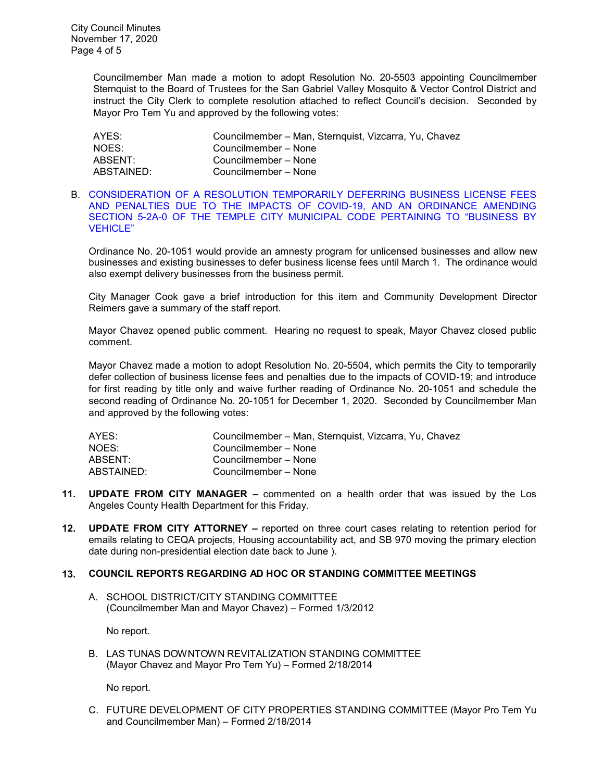Councilmember Man made a motion to adopt Resolution No. 20-5503 appointing Councilmember Sternquist to the Board of Trustees for the San Gabriel Valley Mosquito & Vector Control District and instruct the City Clerk to complete resolution attached to reflect Council's decision. Seconded by Mayor Pro Tem Yu and approved by the following votes:

| AYES:      | Councilmember - Man, Sternquist, Vizcarra, Yu, Chavez |
|------------|-------------------------------------------------------|
| NOES:      | Councilmember – None                                  |
| ABSENT:    | Councilmember - None                                  |
| ABSTAINED: | Councilmember - None                                  |

#### B. [CONSIDERATION OF A RESOLUTION TEMPORARILY DEFERRING BUSINESS LICENSE FEES](https://ca-templecity.civicplus.com/DocumentCenter/View/15331/10_10B_Economic-relief-through-business-license-program_staff-report_SR-final_w-attachments)  [AND PENALTIES DUE TO THE IMPACTS OF COVID-19, AND AN ORDINANCE AMENDING](https://ca-templecity.civicplus.com/DocumentCenter/View/15331/10_10B_Economic-relief-through-business-license-program_staff-report_SR-final_w-attachments)  [SECTION 5-2A-0 OF THE TEMPLE CITY MUNICIPAL CODE PERTAINING TO "BUSINESS BY](https://ca-templecity.civicplus.com/DocumentCenter/View/15331/10_10B_Economic-relief-through-business-license-program_staff-report_SR-final_w-attachments)  [VEHICLE"](https://ca-templecity.civicplus.com/DocumentCenter/View/15331/10_10B_Economic-relief-through-business-license-program_staff-report_SR-final_w-attachments)

Ordinance No. 20-1051 would provide an amnesty program for unlicensed businesses and allow new businesses and existing businesses to defer business license fees until March 1. The ordinance would also exempt delivery businesses from the business permit.

City Manager Cook gave a brief introduction for this item and Community Development Director Reimers gave a summary of the staff report.

Mayor Chavez opened public comment. Hearing no request to speak, Mayor Chavez closed public comment.

Mayor Chavez made a motion to adopt Resolution No. 20-5504, which permits the City to temporarily defer collection of business license fees and penalties due to the impacts of COVID-19; and introduce for first reading by title only and waive further reading of Ordinance No. 20-1051 and schedule the second reading of Ordinance No. 20-1051 for December 1, 2020. Seconded by Councilmember Man and approved by the following votes:

| AYES:      | Councilmember - Man, Sternquist, Vizcarra, Yu, Chavez |
|------------|-------------------------------------------------------|
| NOES:      | Councilmember – None                                  |
| ABSENT:    | Councilmember – None                                  |
| ABSTAINED: | Councilmember – None                                  |
|            |                                                       |

- **11. UPDATE FROM CITY MANAGER –** commented on a health order that was issued by the Los Angeles County Health Department for this Friday.
- **12. UPDATE FROM CITY ATTORNEY –** reported on three court cases relating to retention period for emails relating to CEQA projects, Housing accountability act, and SB 970 moving the primary election date during non-presidential election date back to June ).

#### **13. COUNCIL REPORTS REGARDING AD HOC OR STANDING COMMITTEE MEETINGS**

A. SCHOOL DISTRICT/CITY STANDING COMMITTEE (Councilmember Man and Mayor Chavez) – Formed 1/3/2012

No report.

B. LAS TUNAS DOWNTOWN REVITALIZATION STANDING COMMITTEE (Mayor Chavez and Mayor Pro Tem Yu) – Formed 2/18/2014

No report.

C. FUTURE DEVELOPMENT OF CITY PROPERTIES STANDING COMMITTEE (Mayor Pro Tem Yu and Councilmember Man) – Formed 2/18/2014